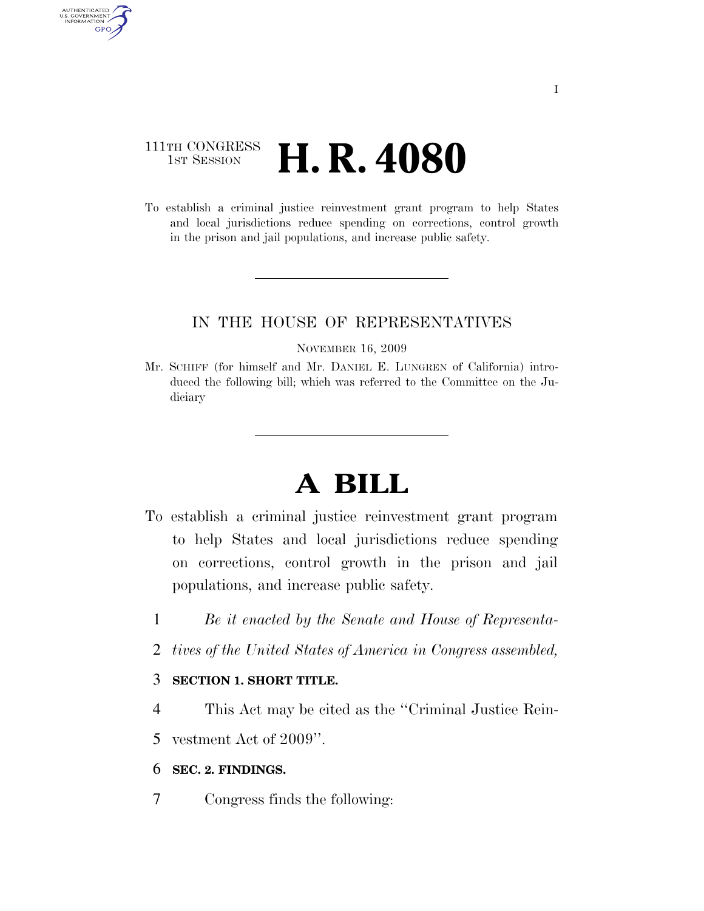# 111TH CONGRESS **1st Session H. R. 4080**

AUTHENTICATED<br>U.S. GOVERNMENT<br>INFORMATION GPO

> To establish a criminal justice reinvestment grant program to help States and local jurisdictions reduce spending on corrections, control growth in the prison and jail populations, and increase public safety.

# IN THE HOUSE OF REPRESENTATIVES

#### NOVEMBER 16, 2009

Mr. SCHIFF (for himself and Mr. DANIEL E. LUNGREN of California) introduced the following bill; which was referred to the Committee on the Judiciary

# **A BILL**

- To establish a criminal justice reinvestment grant program to help States and local jurisdictions reduce spending on corrections, control growth in the prison and jail populations, and increase public safety.
	- 1 *Be it enacted by the Senate and House of Representa-*
	- 2 *tives of the United States of America in Congress assembled,*

## 3 **SECTION 1. SHORT TITLE.**

4 This Act may be cited as the ''Criminal Justice Rein-

5 vestment Act of 2009''.

### 6 **SEC. 2. FINDINGS.**

7 Congress finds the following: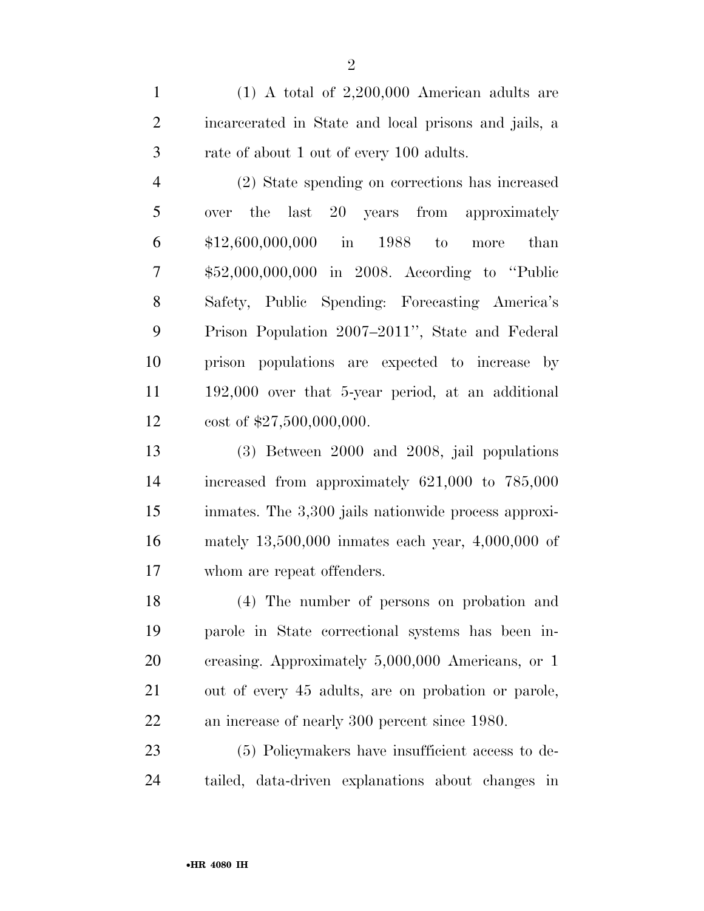(1) A total of 2,200,000 American adults are incarcerated in State and local prisons and jails, a rate of about 1 out of every 100 adults.

 (2) State spending on corrections has increased over the last 20 years from approximately \$12,600,000,000 in 1988 to more than \$52,000,000,000 in 2008. According to ''Public Safety, Public Spending: Forecasting America's Prison Population 2007–2011'', State and Federal prison populations are expected to increase by 192,000 over that 5-year period, at an additional cost of \$27,500,000,000.

 (3) Between 2000 and 2008, jail populations increased from approximately 621,000 to 785,000 inmates. The 3,300 jails nationwide process approxi- mately 13,500,000 inmates each year, 4,000,000 of whom are repeat offenders.

 (4) The number of persons on probation and parole in State correctional systems has been in- creasing. Approximately 5,000,000 Americans, or 1 out of every 45 adults, are on probation or parole, an increase of nearly 300 percent since 1980.

 (5) Policymakers have insufficient access to de-tailed, data-driven explanations about changes in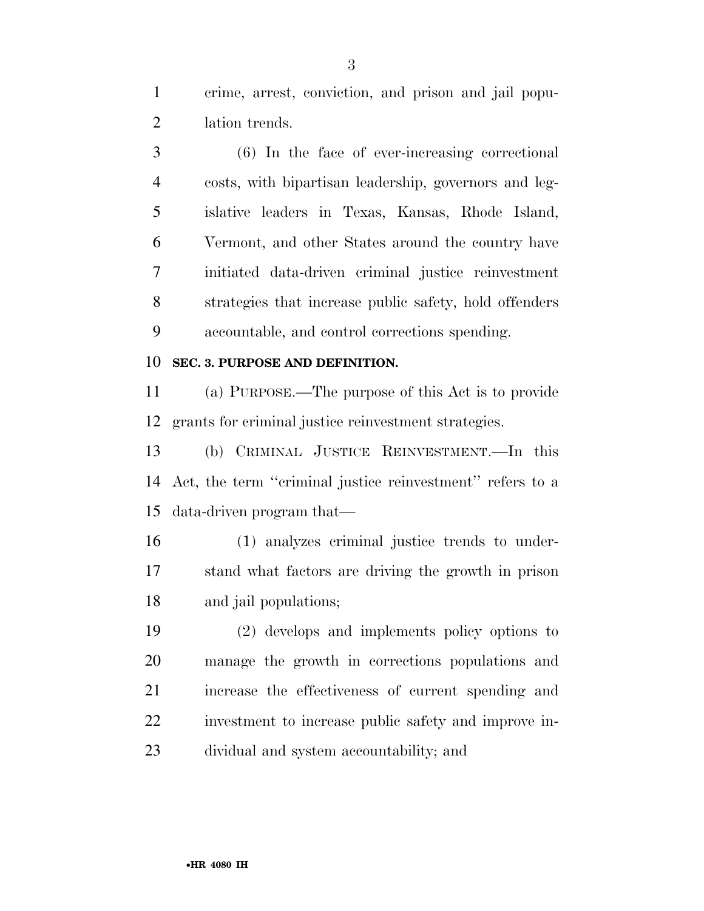crime, arrest, conviction, and prison and jail popu-lation trends.

 (6) In the face of ever-increasing correctional costs, with bipartisan leadership, governors and leg- islative leaders in Texas, Kansas, Rhode Island, Vermont, and other States around the country have initiated data-driven criminal justice reinvestment strategies that increase public safety, hold offenders accountable, and control corrections spending.

### **SEC. 3. PURPOSE AND DEFINITION.**

 (a) PURPOSE.—The purpose of this Act is to provide grants for criminal justice reinvestment strategies.

 (b) CRIMINAL JUSTICE REINVESTMENT.—In this Act, the term ''criminal justice reinvestment'' refers to a data-driven program that—

 (1) analyzes criminal justice trends to under- stand what factors are driving the growth in prison and jail populations;

 (2) develops and implements policy options to manage the growth in corrections populations and increase the effectiveness of current spending and investment to increase public safety and improve in-dividual and system accountability; and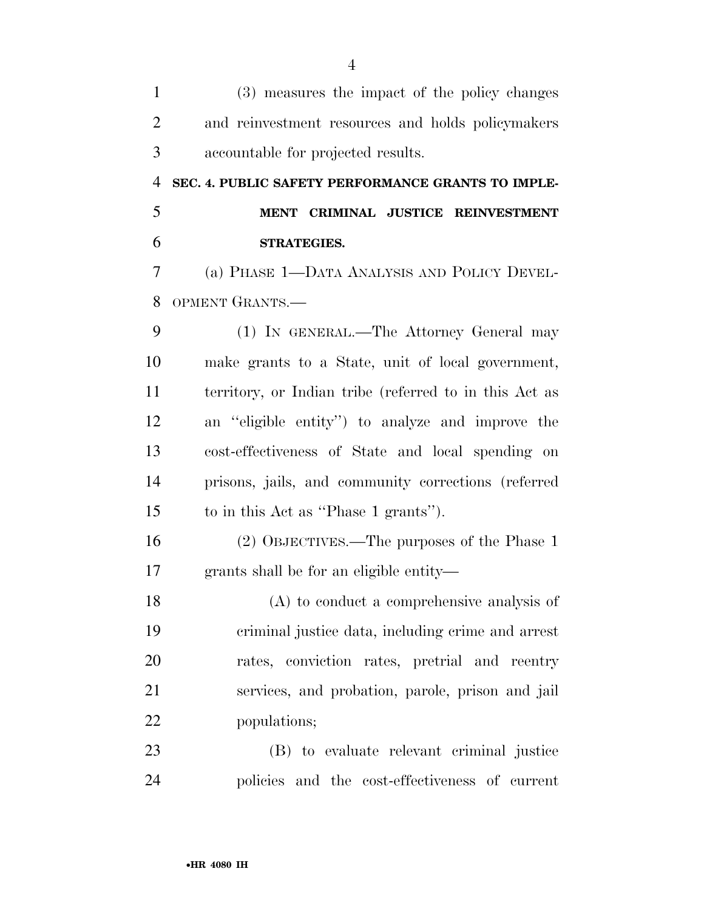| $\mathbf{1}$   | (3) measures the impact of the policy changes          |
|----------------|--------------------------------------------------------|
| $\overline{2}$ | and reinvestment resources and holds policymakers      |
| 3              | accountable for projected results.                     |
| 4              | SEC. 4. PUBLIC SAFETY PERFORMANCE GRANTS TO IMPLE-     |
| 5              | MENT CRIMINAL JUSTICE REINVESTMENT                     |
| 6              | <b>STRATEGIES.</b>                                     |
| 7              | (a) PHASE 1—DATA ANALYSIS AND POLICY DEVEL-            |
| 8              | OPMENT GRANTS.-                                        |
| 9              | (1) IN GENERAL.—The Attorney General may               |
| 10             | make grants to a State, unit of local government,      |
| 11             | territory, or Indian tribe (referred to in this Act as |
| 12             | an "eligible entity") to analyze and improve the       |
| 13             | cost-effectiveness of State and local spending on      |
| 14             | prisons, jails, and community corrections (referred    |
| 15             | to in this Act as "Phase 1 grants").                   |
| 16             | (2) OBJECTIVES.—The purposes of the Phase 1            |
| 17             | grants shall be for an eligible entity—                |
| 18             | $(A)$ to conduct a comprehensive analysis of           |
| 19             | criminal justice data, including crime and arrest      |
| 20             | rates, conviction rates, pretrial and reentry          |
| 21             | services, and probation, parole, prison and jail       |
| 22             | populations;                                           |
| 23             | (B) to evaluate relevant criminal justice              |
| 24             | policies and the cost-effectiveness of current         |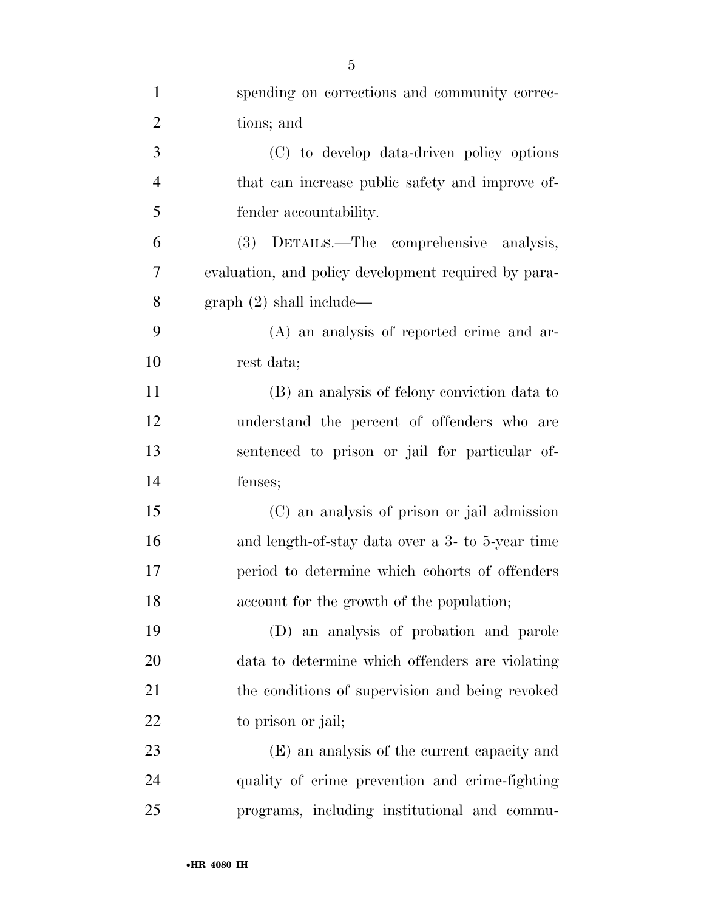| $\mathbf{1}$   | spending on corrections and community correc-        |
|----------------|------------------------------------------------------|
| $\overline{2}$ | tions; and                                           |
| 3              | (C) to develop data-driven policy options            |
| $\overline{4}$ | that can increase public safety and improve of-      |
| 5              | fender accountability.                               |
| 6              | DETAILS.—The comprehensive analysis,<br><b>(3)</b>   |
| 7              | evaluation, and policy development required by para- |
| 8              | graph (2) shall include—                             |
| 9              | (A) an analysis of reported crime and ar-            |
| 10             | rest data;                                           |
| 11             | (B) an analysis of felony conviction data to         |
| 12             | understand the percent of offenders who are          |
| 13             | sentenced to prison or jail for particular of-       |
| 14             | fenses;                                              |
| 15             | (C) an analysis of prison or jail admission          |
| 16             | and length-of-stay data over a 3- to 5-year time     |
| 17             | period to determine which cohorts of offenders       |
| 18             | account for the growth of the population;            |
| 19             | (D) an analysis of probation and parole              |
| 20             | data to determine which offenders are violating      |
| 21             | the conditions of supervision and being revoked      |
| 22             | to prison or jail;                                   |
| 23             | (E) an analysis of the current capacity and          |
| 24             | quality of crime prevention and crime-fighting       |
| 25             | programs, including institutional and commu-         |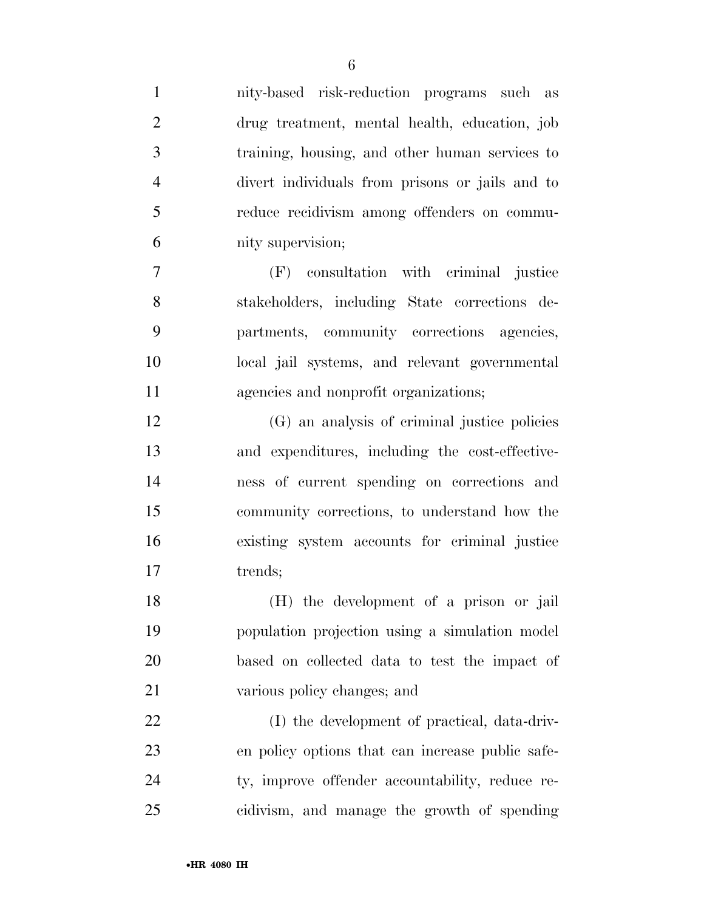| $\mathbf{1}$   | nity-based risk-reduction programs such as       |
|----------------|--------------------------------------------------|
| $\overline{2}$ | drug treatment, mental health, education, job    |
| 3              | training, housing, and other human services to   |
| $\overline{4}$ | divert individuals from prisons or jails and to  |
| 5              | reduce recidivism among offenders on commu-      |
| 6              | nity supervision;                                |
| $\overline{7}$ | (F) consultation with criminal justice           |
| 8              | stakeholders, including State corrections de-    |
| 9              | partments, community corrections agencies,       |
| 10             | local jail systems, and relevant governmental    |
| 11             | agencies and nonprofit organizations;            |
| 12             | (G) an analysis of criminal justice policies     |
| 13             | and expenditures, including the cost-effective-  |
| 14             | ness of current spending on corrections and      |
| 15             | community corrections, to understand how the     |
| 16             | existing system accounts for criminal justice    |
| 17             | trends;                                          |
| 18             | (H) the development of a prison or jail          |
| 19             | population projection using a simulation model   |
| 20             | based on collected data to test the impact of    |
| 21             | various policy changes; and                      |
| 22             | (I) the development of practical, data-driv-     |
| 23             | en policy options that can increase public safe- |
| 24             | ty, improve offender accountability, reduce re-  |
| 25             | cidivism, and manage the growth of spending      |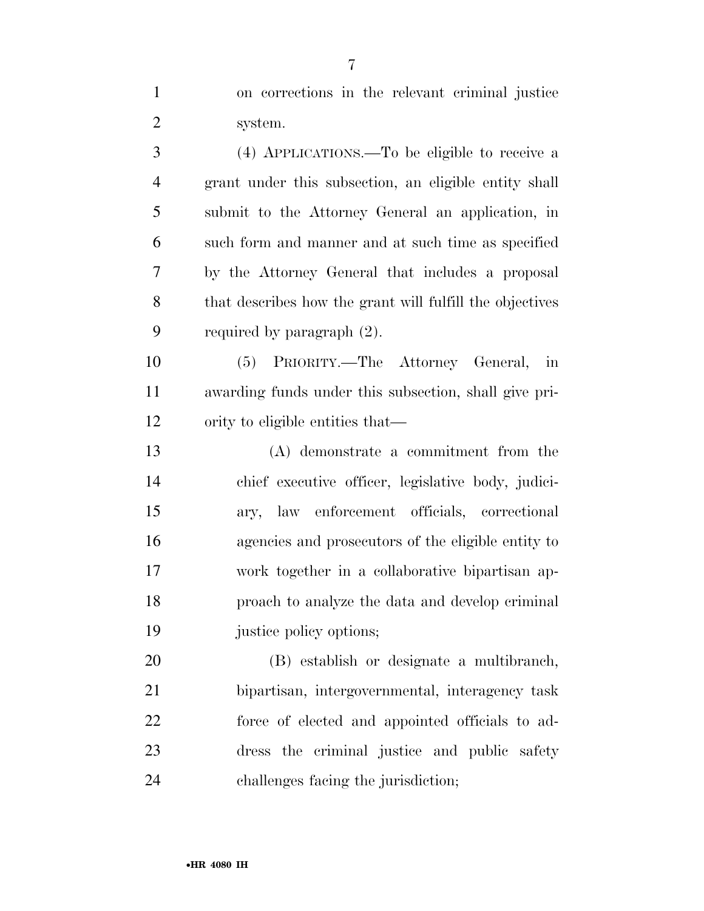on corrections in the relevant criminal justice system. (4) APPLICATIONS.—To be eligible to receive a grant under this subsection, an eligible entity shall submit to the Attorney General an application, in such form and manner and at such time as specified by the Attorney General that includes a proposal that describes how the grant will fulfill the objectives required by paragraph (2). (5) PRIORITY.—The Attorney General, in awarding funds under this subsection, shall give pri- ority to eligible entities that— (A) demonstrate a commitment from the chief executive officer, legislative body, judici- ary, law enforcement officials, correctional agencies and prosecutors of the eligible entity to work together in a collaborative bipartisan ap- proach to analyze the data and develop criminal justice policy options; (B) establish or designate a multibranch,

 bipartisan, intergovernmental, interagency task force of elected and appointed officials to ad- dress the criminal justice and public safety challenges facing the jurisdiction;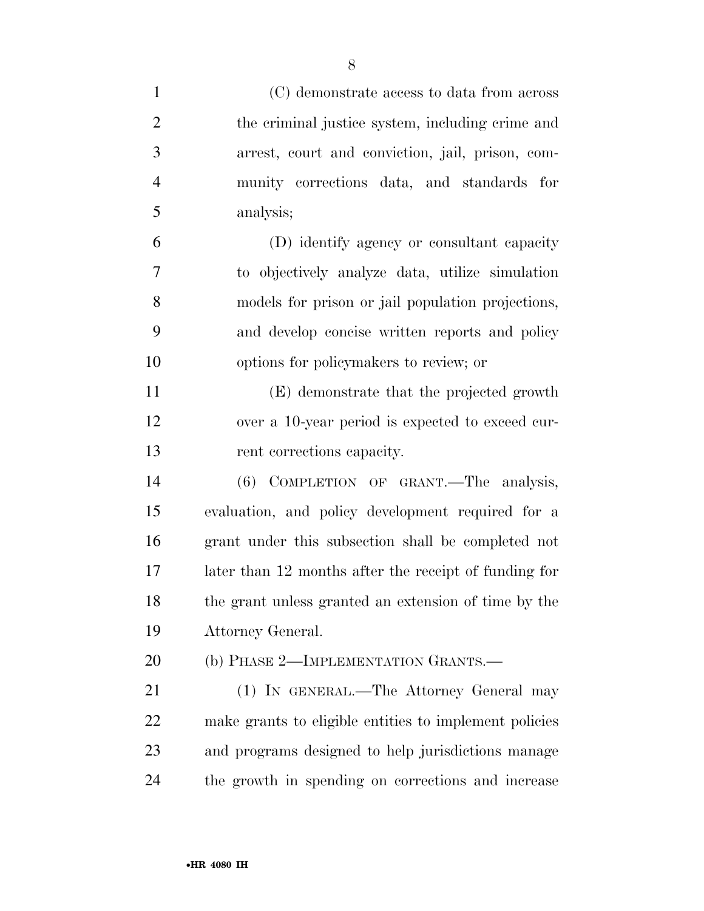| $\mathbf{1}$   | (C) demonstrate access to data from across             |
|----------------|--------------------------------------------------------|
| $\overline{2}$ | the criminal justice system, including crime and       |
| 3              | arrest, court and conviction, jail, prison, com-       |
| $\overline{4}$ | munity corrections data, and standards for             |
| 5              | analysis;                                              |
| 6              | (D) identify agency or consultant capacity             |
| 7              | to objectively analyze data, utilize simulation        |
| 8              | models for prison or jail population projections,      |
| 9              | and develop concise written reports and policy         |
| 10             | options for policymakers to review; or                 |
| 11             | (E) demonstrate that the projected growth              |
| 12             | over a 10-year period is expected to exceed cur-       |
| 13             | rent corrections capacity.                             |
| 14             | (6) COMPLETION OF GRANT. The analysis,                 |
| 15             | evaluation, and policy development required for a      |
| 16             | grant under this subsection shall be completed not     |
| 17             | later than 12 months after the receipt of funding for  |
| 18             | the grant unless granted an extension of time by the   |
| 19             | Attorney General.                                      |
| 20             | (b) PHASE 2-IMPLEMENTATION GRANTS.-                    |
| 21             | (1) IN GENERAL.—The Attorney General may               |
| 22             | make grants to eligible entities to implement policies |
| 23             | and programs designed to help jurisdictions manage     |
| 24             | the growth in spending on corrections and increase     |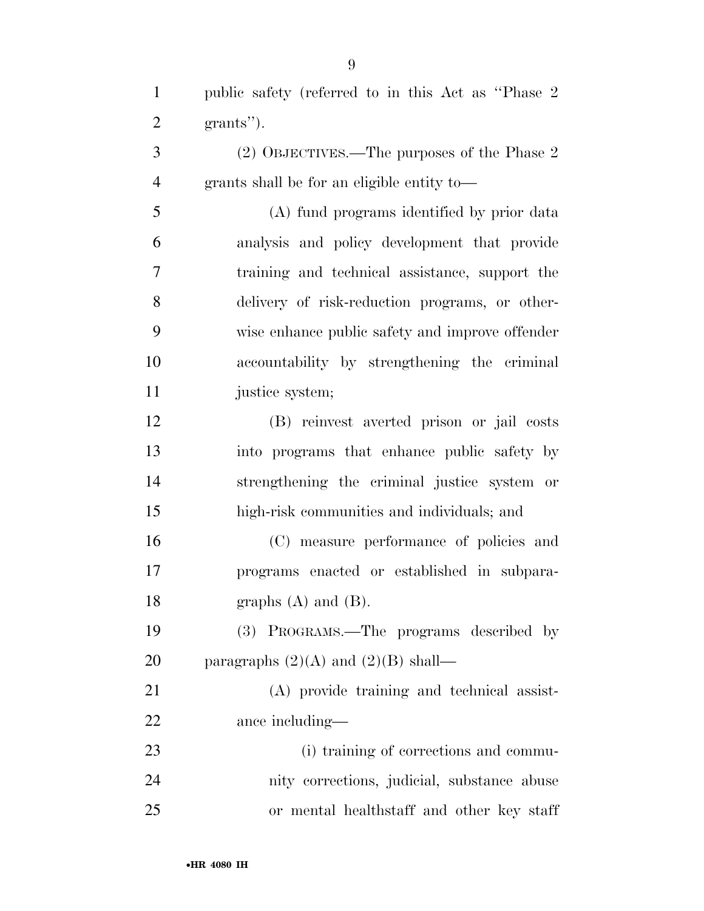public safety (referred to in this Act as ''Phase 2 grants'').

 (2) OBJECTIVES.—The purposes of the Phase 2 grants shall be for an eligible entity to—

 (A) fund programs identified by prior data analysis and policy development that provide training and technical assistance, support the delivery of risk-reduction programs, or other- wise enhance public safety and improve offender accountability by strengthening the criminal 11 justice system;

 (B) reinvest averted prison or jail costs into programs that enhance public safety by strengthening the criminal justice system or high-risk communities and individuals; and

 (C) measure performance of policies and programs enacted or established in subpara-18 graphs  $(A)$  and  $(B)$ .

 (3) PROGRAMS.—The programs described by 20 paragraphs  $(2)(A)$  and  $(2)(B)$  shall—

 (A) provide training and technical assist-ance including—

 (i) training of corrections and commu- nity corrections, judicial, substance abuse or mental healthstaff and other key staff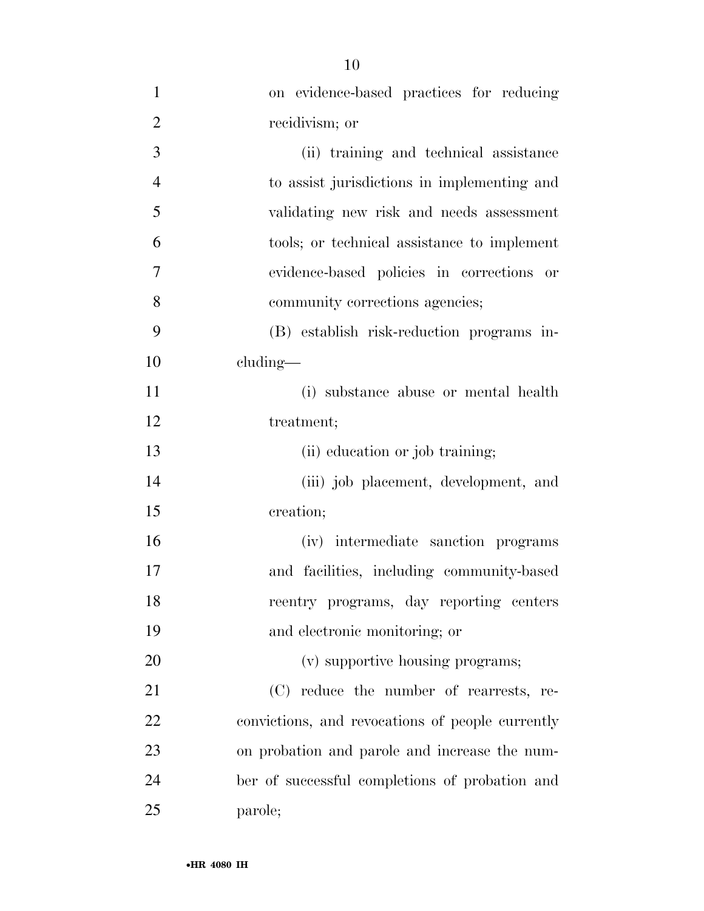| $\mathbf{1}$   | on evidence-based practices for reducing         |
|----------------|--------------------------------------------------|
| $\overline{2}$ | recidivism; or                                   |
| 3              | (ii) training and technical assistance           |
| $\overline{4}$ | to assist jurisdictions in implementing and      |
| 5              | validating new risk and needs assessment         |
| 6              | tools; or technical assistance to implement      |
| 7              | evidence-based policies in corrections or        |
| 8              | community corrections agencies;                  |
| 9              | (B) establish risk-reduction programs in-        |
| 10             | cluding—                                         |
| 11             | (i) substance abuse or mental health             |
| 12             | treatment;                                       |
| 13             | (ii) education or job training;                  |
| 14             | (iii) job placement, development, and            |
| 15             | creation;                                        |
| 16             | (iv) intermediate sanction programs              |
| 17             | and facilities, including community-based        |
| 18             | reentry programs, day reporting centers          |
| 19             | and electronic monitoring; or                    |
| 20             | (v) supportive housing programs;                 |
| 21             | (C) reduce the number of rearrests, re-          |
| 22             | convictions, and revocations of people currently |
| 23             | on probation and parole and increase the num-    |
| 24             | ber of successful completions of probation and   |
| 25             | parole;                                          |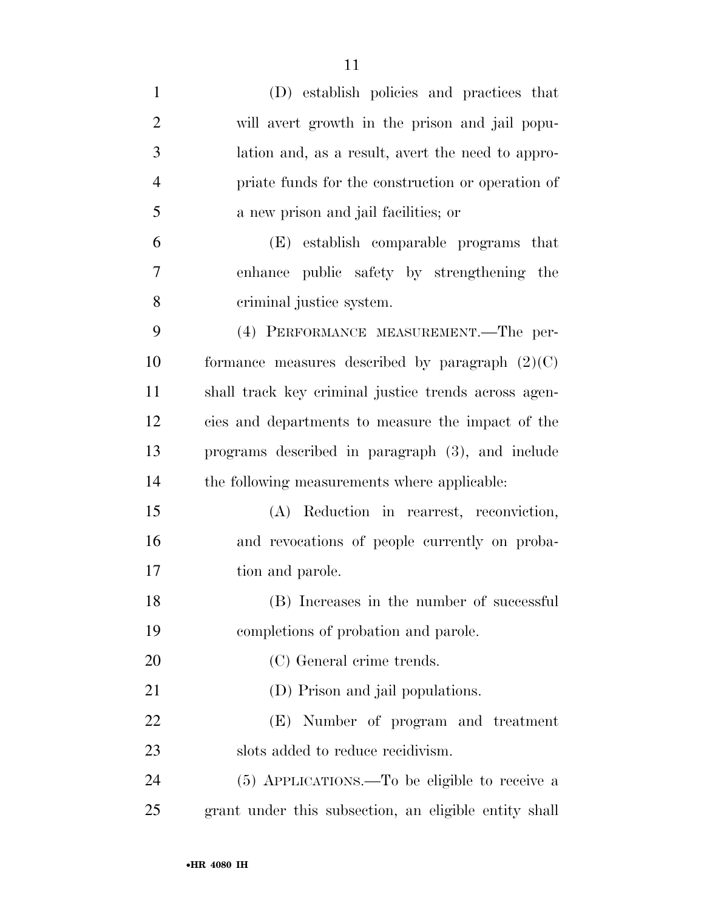| $\mathbf{1}$   | (D) establish policies and practices that             |
|----------------|-------------------------------------------------------|
| $\overline{2}$ | will avert growth in the prison and jail popu-        |
| 3              | lation and, as a result, avert the need to appro-     |
| $\overline{4}$ | priate funds for the construction or operation of     |
| 5              | a new prison and jail facilities; or                  |
| 6              | (E) establish comparable programs that                |
| $\overline{7}$ | enhance public safety by strengthening the            |
| 8              | criminal justice system.                              |
| 9              | (4) PERFORMANCE MEASUREMENT.—The per-                 |
| 10             | formance measures described by paragraph $(2)(C)$     |
| 11             | shall track key criminal justice trends across agen-  |
| 12             | cies and departments to measure the impact of the     |
| 13             | programs described in paragraph (3), and include      |
| 14             | the following measurements where applicable:          |
| 15             | (A) Reduction in rearrest, reconviction,              |
| 16             | and revocations of people currently on proba-         |
| 17             | tion and parole.                                      |
| 18             | (B) Increases in the number of successful             |
| 19             | completions of probation and parole.                  |
| 20             | (C) General crime trends.                             |
| 21             | (D) Prison and jail populations.                      |
| 22             | (E) Number of program and treatment                   |
| 23             | slots added to reduce recidivism.                     |
| 24             | (5) APPLICATIONS.—To be eligible to receive a         |
| 25             | grant under this subsection, an eligible entity shall |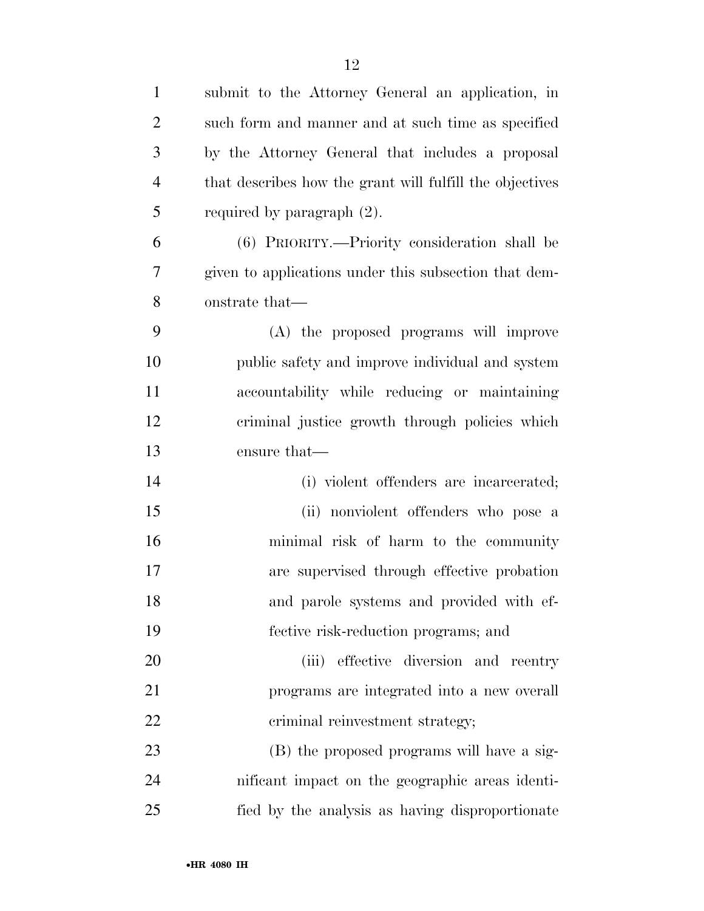| $\mathbf{1}$   | submit to the Attorney General an application, in        |
|----------------|----------------------------------------------------------|
| $\overline{2}$ | such form and manner and at such time as specified       |
| 3              | by the Attorney General that includes a proposal         |
| $\overline{4}$ | that describes how the grant will fulfill the objectives |
| 5              | required by paragraph $(2)$ .                            |
| 6              | (6) PRIORITY.—Priority consideration shall be            |
| $\overline{7}$ | given to applications under this subsection that dem-    |
| 8              | onstrate that—                                           |
| 9              | (A) the proposed programs will improve                   |
| 10             | public safety and improve individual and system          |
| 11             | accountability while reducing or maintaining             |
| 12             | criminal justice growth through policies which           |
| 13             | ensure that—                                             |
| 14             | (i) violent offenders are incarcerated;                  |
| 15             | (ii) nonviolent offenders who pose a                     |
| 16             | minimal risk of harm to the community                    |
| 17             | are supervised through effective probation               |
| 18             | and parole systems and provided with ef-                 |
| 19             | fective risk-reduction programs; and                     |
| 20             | effective diversion and reentry<br>(iii)                 |
| 21             | programs are integrated into a new overall               |
| 22             | criminal reinvestment strategy;                          |
| 23             | (B) the proposed programs will have a sig-               |
| 24             | nificant impact on the geographic areas identi-          |
| 25             | fied by the analysis as having disproportionate          |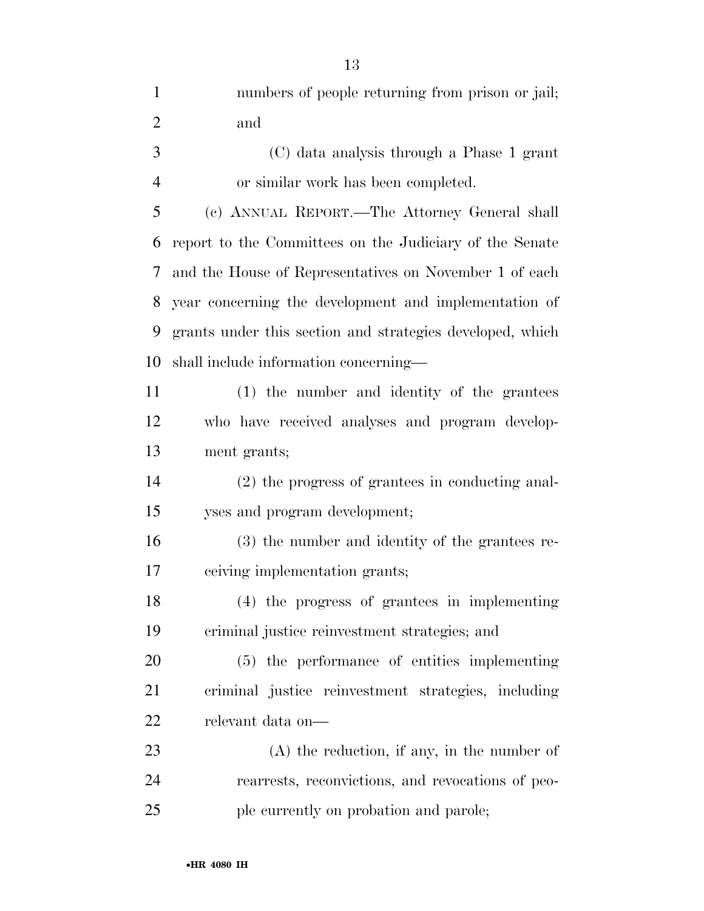| $\mathbf{1}$   | numbers of people returning from prison or jail;          |
|----------------|-----------------------------------------------------------|
| $\overline{2}$ | and                                                       |
| 3              | (C) data analysis through a Phase 1 grant                 |
| $\overline{4}$ | or similar work has been completed.                       |
| 5              | (c) ANNUAL REPORT.—The Attorney General shall             |
| 6              | report to the Committees on the Judiciary of the Senate   |
| 7              | and the House of Representatives on November 1 of each    |
| 8              | year concerning the development and implementation of     |
| 9              | grants under this section and strategies developed, which |
| 10             | shall include information concerning—                     |
| 11             | (1) the number and identity of the grantees               |
| 12             | who have received analyses and program develop-           |
| 13             | ment grants;                                              |
| 14             | (2) the progress of grantees in conducting anal-          |
| 15             | yses and program development;                             |
| 16             | (3) the number and identity of the grantees re-           |
| 17             | ceiving implementation grants;                            |
| 18             | (4) the progress of grantees in implementing              |
| 19             | criminal justice reinvestment strategies; and             |
| 20             | (5) the performance of entities implementing              |
| 21             | criminal justice reinvestment strategies, including       |
| 22             | relevant data on-                                         |
| 23             | $(A)$ the reduction, if any, in the number of             |
| 24             | rearrests, reconvictions, and revocations of peo-         |
| 25             | ple currently on probation and parole;                    |